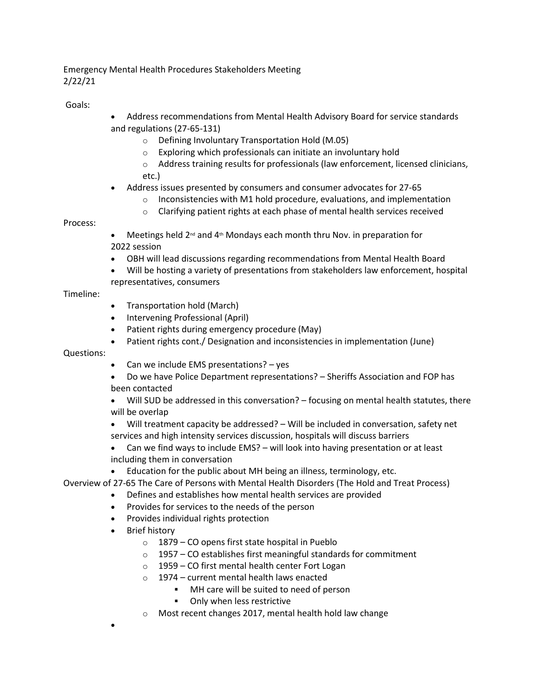## Emergency Mental Health Procedures Stakeholders Meeting 2/22/21

Goals:

- Address recommendations from Mental Health Advisory Board for service standards and regulations (27-65-131)
	- o Defining Involuntary Transportation Hold (M.05)
	- o Exploring which professionals can initiate an involuntary hold
	- o Address training results for professionals (law enforcement, licensed clinicians, etc.)
- Address issues presented by consumers and consumer advocates for 27-65
	- $\circ$  Inconsistencies with M1 hold procedure, evaluations, and implementation
	- o Clarifying patient rights at each phase of mental health services received

## Process:

- Meetings held 2<sup>nd</sup> and 4<sup>th</sup> Mondays each month thru Nov. in preparation for 2022 session
- OBH will lead discussions regarding recommendations from Mental Health Board
- Will be hosting a variety of presentations from stakeholders law enforcement, hospital representatives, consumers

## Timeline:

- Transportation hold (March)
- Intervening Professional (April)
- Patient rights during emergency procedure (May)
- Patient rights cont./ Designation and inconsistencies in implementation (June)

Questions:

- Can we include EMS presentations? yes
- Do we have Police Department representations? Sheriffs Association and FOP has been contacted
- Will SUD be addressed in this conversation? focusing on mental health statutes, there will be overlap
- Will treatment capacity be addressed? Will be included in conversation, safety net services and high intensity services discussion, hospitals will discuss barriers
- Can we find ways to include EMS? will look into having presentation or at least including them in conversation
- Education for the public about MH being an illness, terminology, etc.
- Overview of 27-65 The Care of Persons with Mental Health Disorders (The Hold and Treat Process)
	- Defines and establishes how mental health services are provided
	- Provides for services to the needs of the person
	- Provides individual rights protection
	- Brief history

•

- o 1879 CO opens first state hospital in Pueblo
- $\circ$  1957 CO establishes first meaningful standards for commitment
- o 1959 CO first mental health center Fort Logan
- $\circ$  1974 current mental health laws enacted
	- MH care will be suited to need of person
	- Only when less restrictive
- o Most recent changes 2017, mental health hold law change